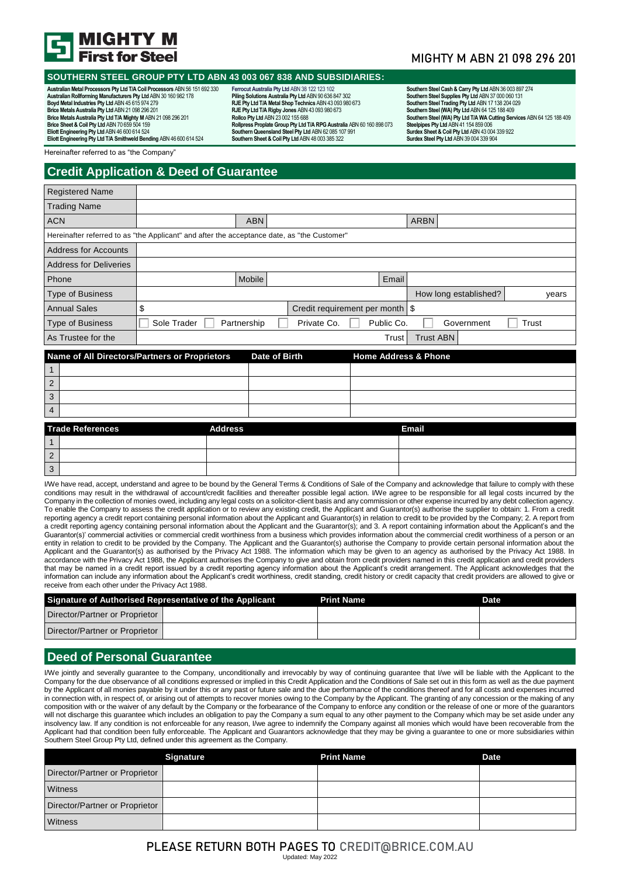

#### **SOUTHERN STEEL GROUP PTY LTD ABN 43 003 067 838 AND SUBSIDIARIES:**

**Australian Metal Processors Pty Ltd T/A Coil Processors** ABN 56 151 692 330 **Australian Rollforming Manufacturers Pty Ltd** ABN 30 160 982 178 **Boyd Metal Industries Pty Ltd** ABN 45 615 974 279 **Brice Metals Australia Pty Ltd** ABN 21 098 296 201 **Brice Metals Australia Pty Ltd T/A Mighty M** ABN 21 098 296 201 **Brice Sheet & Coil Pty Ltd** ABN 70 659 504 159 **Eliott Engineering Pty Ltd** ABN 46 600 614 524 **Eliott Engineering Pty Ltd T/A Smithweld Bending** ABN 46 600 614 524

**Ferrocut Australia Pty Ltd** ABN 38 122 123 102 **Piling Solutions Australia Pty Ltd** ABN 90 636 847 302 **RJE Pty Ltd T/A Metal Shop Technics** ABN 43 093 980 673 **RJE Pty Ltd T/A Rigby Jones** ABN 43 093 980 673 **Rollco Pty Ltd** ABN 23 002 155 688 **Rollpress Proplate Group Pty Ltd T/A RPG Australia** ABN 60 160 898 073 **SouthernQueensland Steel Pty Ltd** ABN 62 085 107 991 **Southern Sheet & Coil Pty Ltd** ABN 48 003 385 322

### MIGHTY M ABN 21 098 296 201

Southern Steel Cash & Carry Pty Ltd ABN 36 003 897 274<br>Southern Steel Supplies Pty Ltd ABN 37 000 060 131<br>Southern Steel (YIA) Pty Ltd ABN 17 138 204 029<br>Southern Steel (WA) Pty Ltd ABN 64 125 188 409 **Southern Steel (WA) Pty Ltd T/A WA Cutting Services** ABN 64 125 188 409 **Steelpipes Pty Ltd** ABN 41 154 859 006 **Surdex Sheet & Coil Pty Ltd** ABN 43 004 339 922 **Surdex Steel Pty Ltd** ABN 39 004 339 904

Hereinafter referred to as "the Company"

# **Credit Application & Deed of Guarantee**

| <b>Registered Name</b>                                                                      |             |                |               |                                   |            |                                 |                       |       |       |
|---------------------------------------------------------------------------------------------|-------------|----------------|---------------|-----------------------------------|------------|---------------------------------|-----------------------|-------|-------|
| <b>Trading Name</b>                                                                         |             |                |               |                                   |            |                                 |                       |       |       |
| <b>ACN</b>                                                                                  |             |                | <b>ABN</b>    |                                   |            | <b>ARBN</b>                     |                       |       |       |
| Hereinafter referred to as "the Applicant" and after the acceptance date, as "the Customer" |             |                |               |                                   |            |                                 |                       |       |       |
| <b>Address for Accounts</b>                                                                 |             |                |               |                                   |            |                                 |                       |       |       |
| <b>Address for Deliveries</b>                                                               |             |                |               |                                   |            |                                 |                       |       |       |
| Phone                                                                                       |             | Mobile         |               |                                   | Email      |                                 |                       |       |       |
| <b>Type of Business</b>                                                                     |             |                |               |                                   |            |                                 | How long established? |       | years |
| <b>Annual Sales</b>                                                                         | \$          |                |               | Credit requirement per month   \$ |            |                                 |                       |       |       |
| <b>Type of Business</b>                                                                     | Sole Trader | Partnership    |               | Private Co.                       | Public Co. |                                 | Government            | Trust |       |
| As Trustee for the                                                                          |             |                |               |                                   | Trust      | <b>Trust ABN</b>                |                       |       |       |
| Name of All Directors/Partners or Proprietors                                               |             |                | Date of Birth |                                   |            | <b>Home Address &amp; Phone</b> |                       |       |       |
| 1                                                                                           |             |                |               |                                   |            |                                 |                       |       |       |
| 2                                                                                           |             |                |               |                                   |            |                                 |                       |       |       |
| 3                                                                                           |             |                |               |                                   |            |                                 |                       |       |       |
| 4                                                                                           |             |                |               |                                   |            |                                 |                       |       |       |
| <b>Trade References</b>                                                                     |             | <b>Address</b> |               |                                   |            | <b>Email</b>                    |                       |       |       |
|                                                                                             |             |                |               |                                   |            |                                 |                       |       |       |
| $\overline{2}$                                                                              |             |                |               |                                   |            |                                 |                       |       |       |

I/We have read, accept, understand and agree to be bound by the General Terms & Conditions of Sale of the Company and acknowledge that failure to comply with these conditions may result in the withdrawal of account/credit facilities and thereafter possible legal action. I/We agree to be responsible for all legal costs incurred by the Company in the collection of monies owed, including any legal costs on a solicitor-client basis and any commission or other expense incurred by any debt collection agency. To enable the Company to assess the credit application or to review any existing credit, the Applicant and Guarantor(s) authorise the supplier to obtain: 1. From a credit reporting agency a credit report containing personal information about the Applicant and Guarantor(s) in relation to credit to be provided by the Company; 2. A report from a credit reporting agency containing personal information about the Applicant and the Guarantor(s); and 3. A report containing information about the Applicant's and the Guarantor(s)' commercial activities or commercial credit worthiness from a business which provides information about the commercial credit worthiness of a person or an entity in relation to credit to be provided by the Company. The Applicant and the Guarantor(s) authorise the Company to provide certain personal information about the Applicant and the Guarantor(s) as authorised by the Privacy Act 1988. The information which may be given to an agency as authorised by the Privacy Act 1988. In accordance with the Privacy Act 1988, the Applicant authorises the Company to give and obtain from credit providers named in this credit application and credit providers that may be named in a credit report issued by a credit reporting agency information about the Applicant's credit arrangement. The Applicant acknowledges that the information can include any information about the Applicant's credit worthiness, credit standing, credit history or credit capacity that credit providers are allowed to give or receive from each other under the Privacy Act 1988.

|                                | Signature of Authorised Representative of the Applicant | <b>Print Name</b> | Date |
|--------------------------------|---------------------------------------------------------|-------------------|------|
| Director/Partner or Proprietor |                                                         |                   |      |
| Director/Partner or Proprietor |                                                         |                   |      |

### **Deed of Personal Guarantee**

3

I/We jointly and severally guarantee to the Company, unconditionally and irrevocably by way of continuing guarantee that I/we will be liable with the Applicant to the Company for the due observance of all conditions expressed or implied in this Credit Application and the Conditions of Sale set out in this form as well as the due payment by the Applicant of all monies payable by it under this or any past or future sale and the due performance of the conditions thereof and for all costs and expenses incurred in connection with, in respect of, or arising out of attempts to recover monies owing to the Company by the Applicant. The granting of any concession or the making of any composition with or the waiver of any default by the Company or the forbearance of the Company to enforce any condition or the release of one or more of the guarantors will not discharge this guarantee which includes an obligation to pay the Company a sum equal to any other payment to the Company which may be set aside under any insolvency law. If any condition is not enforceable for any reason, I/we agree to indemnify the Company against all monies which would have been recoverable from the Applicant had that condition been fully enforceable. The Applicant and Guarantors acknowledge that they may be giving a guarantee to one or more subsidiaries within Southern Steel Group Pty Ltd, defined under this agreement as the Company.

|                                | <b>Signature</b> | <b>Print Name</b> | <b>Date</b> |
|--------------------------------|------------------|-------------------|-------------|
| Director/Partner or Proprietor |                  |                   |             |
| Witness                        |                  |                   |             |
| Director/Partner or Proprietor |                  |                   |             |
| Witness                        |                  |                   |             |